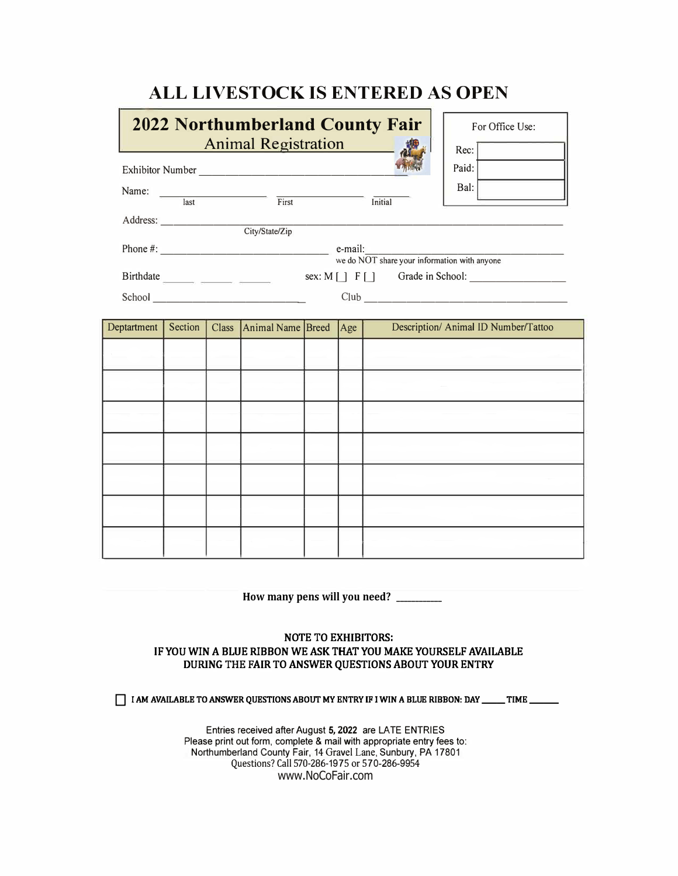## **ALL LIVESTOCK IS ENTERED AS OPEN**

|             |                                                                                                                                                                                                                                                                                                                                                                                                  |  | <b>2022 Northumberland County Fair</b><br><b>Animal Registration</b>                                                                                                                                                                 |  |     |  | For Office Use:<br>Rec:              |
|-------------|--------------------------------------------------------------------------------------------------------------------------------------------------------------------------------------------------------------------------------------------------------------------------------------------------------------------------------------------------------------------------------------------------|--|--------------------------------------------------------------------------------------------------------------------------------------------------------------------------------------------------------------------------------------|--|-----|--|--------------------------------------|
|             |                                                                                                                                                                                                                                                                                                                                                                                                  |  |                                                                                                                                                                                                                                      |  |     |  | Paid:                                |
|             |                                                                                                                                                                                                                                                                                                                                                                                                  |  | Name: <u>last First</u> First Initial                                                                                                                                                                                                |  |     |  | Bal: I                               |
|             |                                                                                                                                                                                                                                                                                                                                                                                                  |  |                                                                                                                                                                                                                                      |  |     |  |                                      |
|             |                                                                                                                                                                                                                                                                                                                                                                                                  |  |                                                                                                                                                                                                                                      |  |     |  |                                      |
|             | Phone $\#$ : $\qquad \qquad$ $\qquad \qquad$ $\qquad \qquad$ $\qquad \qquad$ $\qquad \qquad$ $\qquad \qquad$ $\qquad \qquad$ $\qquad \qquad$ $\qquad \qquad$ $\qquad \qquad$ $\qquad \qquad$ $\qquad \qquad$ $\qquad \qquad$ $\qquad \qquad$ $\qquad \qquad$ $\qquad \qquad$ $\qquad \qquad$ $\qquad \qquad$ $\qquad \qquad$ $\qquad \qquad$ $\qquad \qquad$ $\qquad \qquad$ $\qquad \qquad$ $\$ |  |                                                                                                                                                                                                                                      |  |     |  |                                      |
|             |                                                                                                                                                                                                                                                                                                                                                                                                  |  | School <u>and a series of the series of the series of the series of the series of the series of the series of the series of the series of the series of the series of the series of the series of the series of the series of th</u> |  |     |  |                                      |
| Deptartment | Section                                                                                                                                                                                                                                                                                                                                                                                          |  | Class Animal Name Breed                                                                                                                                                                                                              |  | Age |  | Description/ Animal ID Number/Tattoo |
|             |                                                                                                                                                                                                                                                                                                                                                                                                  |  |                                                                                                                                                                                                                                      |  |     |  |                                      |
|             |                                                                                                                                                                                                                                                                                                                                                                                                  |  |                                                                                                                                                                                                                                      |  |     |  |                                      |
|             |                                                                                                                                                                                                                                                                                                                                                                                                  |  |                                                                                                                                                                                                                                      |  |     |  |                                      |
|             |                                                                                                                                                                                                                                                                                                                                                                                                  |  |                                                                                                                                                                                                                                      |  |     |  |                                      |
|             |                                                                                                                                                                                                                                                                                                                                                                                                  |  |                                                                                                                                                                                                                                      |  |     |  |                                      |
|             |                                                                                                                                                                                                                                                                                                                                                                                                  |  |                                                                                                                                                                                                                                      |  |     |  |                                      |
|             |                                                                                                                                                                                                                                                                                                                                                                                                  |  |                                                                                                                                                                                                                                      |  |     |  |                                      |
|             |                                                                                                                                                                                                                                                                                                                                                                                                  |  |                                                                                                                                                                                                                                      |  |     |  |                                      |
|             |                                                                                                                                                                                                                                                                                                                                                                                                  |  |                                                                                                                                                                                                                                      |  |     |  |                                      |

**How many pens will you need? \_\_\_\_\_\_\_\_\_\_\_\_**

## **NOTE TO EXHIBITORS: IF YOU WIN A BLUE RIBBON WE ASK THAT YOU MAKE YOURSELF AVAILABLE DURING** THE **FAIR TO ANSWER QUESTIONS ABOUT YOUR ENTRY**

**T I AM AVAILABLE TO ANSWER QUESTIONS ABOUT MY ENTRY IF I WIN A BLUE RIBBON: DAY \_\_\_\_\_ TIME \_\_\_\_** 

Entries received after August **5, 2022** are LA TE ENTRIES Please print out form, complete & mail with appropriate entry fees to: Northumberland County Fair, 14 Gravel Lane, Sunbury, PA 17801 Questions? Call 570-286-1975 or 570-286-9954 www.NoCoFair.com